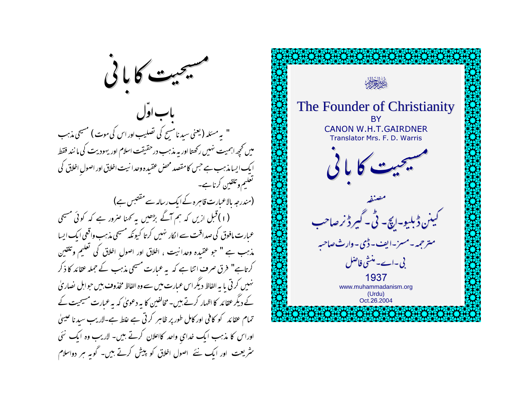

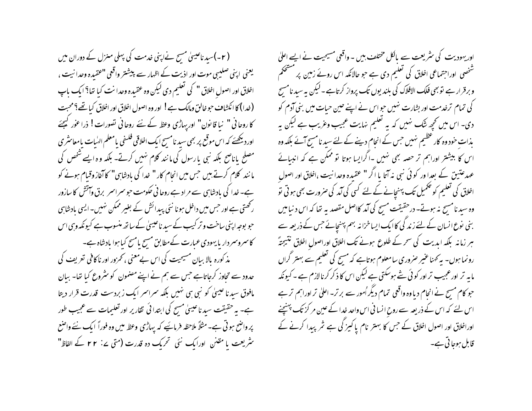( ۲- )سید ناعیسیٰ مسح نےاپنی غدمت کی پہلی منزل کے دوران میں یعنی اپنی صلیبی موت اور اذیت کے اظہار سے پیشتر واقعی "عقیدہ وحدا نیت ، اخلاق اور اصول اخلاق " کی تعلیم دی لیکن وہ عقیدہ وحدا نت کیا تھا؟ ایک ماپ (خدا) کا انکشاف حبوخالق ومالک ہے! اور وہ اصول اخلاق اور اخلاق کیا تھے؟ محبت کا روحانی " نبا قا نون" اور پہاڑی وعظ کے نئے روحانی تصورات! ذرا عوٰر کیجئے اور دیکھئے کہ اس موقع پر بھی سید نامسیح ایک اخلاقی فلسفی یامعلم الهٰبات یامعاسٹری مصلح باناصح بلکہ نبی بارسول کی مانند کلام نہیں کرتے۔ بلکہ وہ ایسے شخص کی ما نند کلام کرتے ہیں جس میں انجام کار " خدا کی بادشاہی" کا آغاز وقیام ہونے کو ہے۔خدا کی بادشاہی سے مراد ہے روحانی حکومت حبو سمراسمر برق وآتش کا سازور رکھتی ہے اور حس میں داخل ہو نا نئی پیدائش کے بغیر ممکن نہیں۔ایسی بادشاہی حبو بوجہ اپنی ساخت و تر کیب کے سید ناعیسیٰ کے ساتھ منسوب ہے کیونکہ وہی اس کاسروسردار با یهودی عبارت کےمطابق مسح یامسح کیاہوا یادشاہ ہے۔ مذ کورہ بالا بیان مسیحیت کی اس بےمعنی ، تھرور اور ناکافی تعریف کی حدود سے تحاوز کرجاتاہے جس سے ہم نے اپنے مضمون کو سٹروع کیا تھا۔ بیان مافوق سید نا عیسیٰ کو نبی ہی نہیں بلکہ سراسر ایک زبردست قدرت قرار دیتا ہے۔ یہ حقیقت سید ناعیسیٰ مسح کی ابتدا ئی تقاریر اور تعلیمات سے عجیب طور پر واضح ہو تی ہے۔ مثلاً ملاحظہ فرمائیے کہ یہاڑی وعظ میں وہ فوراً ایک نئے واضع سثر یعت یا مقتن اورایک نئی تحریک دہ قدرت (متی ۲۲ ـ کے الفاظ"

اور یہودیت کی سٹریعت سے بالکل مختلف بیں ۔ واقعی مسیحیت نے ایسے اعلیٰ شخصی اوراجتماعی اخلاق کی تعلیم دی ہے جو حالانکہ اس روئے زمین پر مشحکم وبرقرار ہے تو بھی فلک الافلاک کی بلندیوں تک پرواز کرتاہے۔لیکن یہ سید نامسیح کی تمام ترخدمت اور بشارت نہیں حواس نے اپنے حین حیات میں بنی آدم کو دی۔ اس میں تحچھ شک نہیں کہ بہ تعلیم نہایت عجیب وعریب ہے لیکن بہ بذات حود وہ کار عظیم نہیں جس کے انحام دینے کے لئے سید نامسح آئے بلکہ وہ اس کا بیشتر اوراہم تر حصہ بھی نہیں ۔اگرایسا ہوتا تو ممکن ہے کہ انببائے عہد عتیق کے بعدا ور کوئی نبی نہ آتا یا اگر " عقیدہ وحدانیت ،اخلاق اور اصول اخلاق کی تعلیم کو تحمیل تک پہنچانے کے لئے کسی کی آمد کی صرورت بھی ہو تی تو وہ سید نامسح نہ ہوتے۔ درحقیقت مسح کی آمد کااصل مقصد یہ تھا کہ اس د نیامیں بنی نوع انسان کے لئے زند گی کاایک ایساخزانہ بہم پہنچائے حس کے ذریعہ سے ہر زمانہ بلکہ ابدیت کی سحر کے طلوع ہونے تک اخلاق اوراصول اخلاق نتیجتہً رونما ہوں۔ بہ کھنا عنیر صروری سامعلوم ہوتاہے کہ مسیح کی تعلیم سے بہتر گراں مایہ تر اورعجیب تر اور کوئی شے ہوسکتی ہے لیکن اس کا ذکر کرنالازم ہے ۔کیونکہ حبو کام مسح نے انحام دیا وہ واقعی تمام دیگر اُمور سے برتر۔ اعلیٰ تر اوراہم تر ہے اس لئے کہ اس کے ذریعہ سے روح انسانی اس واحد خدا کے عین مر کزتک پہنچنے اوراخلاق اور اصول اخلاق کے جس کا بہتر نام یا کیز گی ہے نثر پیدا کرنے کے قابل ہوجا تی ہے۔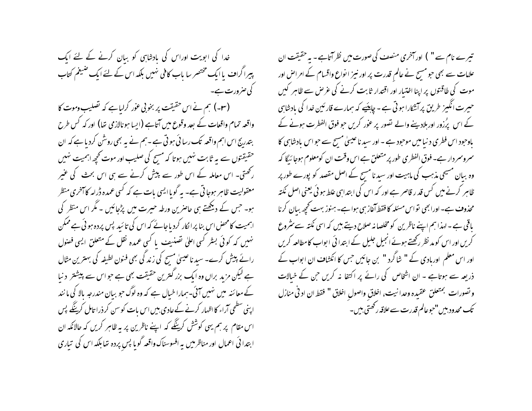خدا کی ابویت اوراس کی بادشاہی کو بیان کرنے کے لئے ایک پیراگراف پا ایک مختصر سا باب کافی نہیں بلکہ اس کے لئے ایک ضیغم کتاب کی صرورت ہے۔

(۳۔) ہم نے اس حقیقت پر بخو بی عوْر کرلیاہے کہ تصلیب وموت کا واقعہ تمام واقعات کے بعد وقوع میں آتاہے (ایسا ہونالازمی تھا) اور کہ کس طرح بتدریج اس اہم واقعہ تک رسا ئی ہو تی ہے ۔ہم نے یہ بھی روشْن کردیا ہے کہ ان حقیقتوں سے یہ ثابت نہیں ہوتا کہ مسح کی صلیب اور موت کحچھ اہمیت نہیں رکھتی۔ اس معاملہ کے اس طور سے پیش کرنے سے ہی اس بحث کی عنیر معقولیت ظاہر ہوجا تی ہے۔ یہ گویاایسی بات ہے کہ کسی عمدہ ڈرامہ کاآخری منظر ہو۔ جس کے دیکھتے ہی حاصرین ورطہ حیرت میں پڑجائیں ۔ مگر اس منظر کی اہمیت کامحض اس بنا پرانکار کردیاجائے کہ اس کی تائید پس پردہ ہوئی ہےممکن نہیں کہ کوئی بسٹر کسی اعلیٰ تصنیف یا کسی عمدہ نقل کے متعلق ایسی فصول رائے پیش کرے۔ سید نا عیسیٰ مسح کی زند گی بھی فنون لطیفہ کی بہترین مثال ہے لیکن مزید براں وہ ایک بزر گنترین حقیقت بھی ہے حواس سے پیشتر دنیا کے معائنہ میں نہیں آئی۔ہمارا خیال ہے کہ وہ لوگ حو بیان مندرجہ بالا کی مانند اپنی سطحی آراء کا اظہار کرنے کےعادی بیں اس بات کو سن کر ذرا تامل کرینگے پس اس مقام پر ہم یہی کوشش کرینگے کہ اپنے ناظرین پر یہ ظاہر کریں کہ حالانکہ ان ابتدا ئی اعمال اور مناظرمیں بہ افسوسناک واقعہ گویا پس پردہ تھا بلکہ اس کی تباری

تیرے نام سے " ) اور آخری منصف کی صورت میں نظر آتاہے۔ یہ حقیقت ان علامات سے بھی حبو مسیح نے عالم قدرت پر اور نیز ا نواع واقسام کے امراض اور موت کی طاقتوں پر اپنا اختبار اور اقتدار ثابت کرنے کی عرص سے ظاہر کیں حسیرت انگیز طریق پر آتشکارا ہو تی ہے ۔ چاہئیے کہ ہمارے قارئین غدا کی بادشاہی کے اس پرُزور اور ہلادینے والے تصور پر عور کریں حو فوق الفطرت ہونے کے یاوجود اس فطری د نیا میں موجود ہے ۔ اور سید نا عیسیٰ مسیح سے حواس یادشاہی کا سمروسمر دار ہے۔ فوق الفطری طور پر متعلق ہے اس وقت ان کومعلوم ہوجا ئیگا کہ وہ بیان مسیحی مذہب کی ماہیت اور سید نامسح کے اصل مقصد کو پورے طور پر ظاہر کرنے میں کس قد ر قاصر ہے اور کہ اس کی ابتدایہی علط ہو ئی یعنی اصل نکتہ محذوف ہے۔اورابھی تواس مسئلہ کا فقط آغاز ہی ہواہے۔ہنوز بہت کھچھ بیان کرنا باقی ہے ۔ لہذا ہم اپنے ناظرین کو مخلصا نہ صلاح دیتے ہیں کہ اسی نکتہ سے مثروع کریں اور اس کو مد نظر رکھتے ہوئے انجیل جلیل کے ابتدا ئی ابواب کامطالعہ کریں اور اس معلم اوربادی کے " شاگرد " بن جائیں جس کا انکشاف ان ابواب کے ذریعہ سے ہوتاہے - ان اشخاص کی رائے پر اکتفا نہ کریں جن کے خیالات ونصورات بمتعلق عقيده وحدانيت، اخلاق واصول اخلاق " فقط ان اد في منازل ۔<br>تک محدود بیں "حوعالم قدرت سے علاقہ رکھتی ہیں۔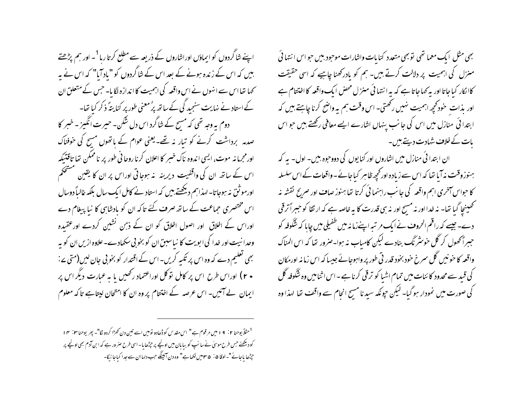اپنے شاگردوں کو ایماؤں اوراشاروں کے ذریعہ سے مطلع کرتا رہا<sup>1</sup>۔ اور ہم پڑھتے بیں کہ اس کے زندہ ہونے کے بعد اس کے شاگردوں کو "باد آیا" کہ اس نے یہ کھا تھا اس سے انہوں نے اس واقعہ کی اہمیت کا اندازہ لگا یا۔ جس کے متعلق ان کے استاد نے نہایت سنجید گی کے ساتھ پرُمعنی طور پر کنا پتہً ذ کر کیا تھا۔ دوم بہ وجہ تھی کہ مسح کے شاگرد اس دل شکن۔ حیرت انگیز ۔ خبر کا صدمہ برداشت کرنے کو تبار نہ تھے۔یعنی عوام کے باتھوں مسیح کی خوفناک اورمجرما نه موت، ایسی اندوه ناک خسر کا اعلان کرنا روحا فی طور پر ناممکن تھا تاقتیکہ اس کے ساتھ ان کی واقفیت دیرینہ یہ ہوجاتی اوراس پر ان کا یقین مستحکم اورموثق نہ ہوجاتا۔ لہذاہم دیکھتے ہیں کہ استاد نے کامل ایک سال بلکہ غالباً دوسال اس مختصری حماعت کے ساتھ صرف کئے تاکہ ان کو بادشاہی کا نیا پیغام دے اوراس کے اخلاق اور اصول اخلاق کو ان کے ذہن نشین کردے اور عقیدہ وحدا نیت اور خدا کی ابویت کا نیاسبق ان کو بخو پی سکھادے۔علاوہ ازیں ان کو بہ بھی تعلیم دے کہ وہ اس پر تکیہ کریں- اس کے اقتدار کو بخو بی جان لیں(متی ے : + ۲) اوراس طرح اس پر کامل تو کل اوراعتماد رکھیں یا یہ عمارت دیگراس پر ایمان لے آئیں۔ اس عرصہ کے اختتام پر وہ ان کا امتحان لپتاہے تا کہ معلوم

بھی مثل ایک معما تھی توبھی متعدد کنایات واشارات موحود بیں حواس انتہائی منزل کی اہمیت پر دلالت کرتے ہیں۔ ہم کو بادرکھنا چاہیے کہ اسی حقیقت کاا کار کیا جاتا اور یہ کہا جاتا ہے کہ یہ ا نتہائی منزل محض ایک واقعہ کا اختتام ہے اور بذات حود محچه اہمیت نہیں رکھتی۔ اس وقت ہم یہ واضح کرنا چاہتے ہیں کہ ابتدا ئی منازل میں اس کی جانب پنہاں اشارے ایسے معافی رکھتے ہیں حواس یات کے خلاف شہادت دیتے ہیں۔

ان ابتدا ئی منازل میں اشاروں اور کنا یوں کی دووجوہ بیں۔ اول- یہ کہ ہنوز وقت نہ آیا تھا کہ اس سے زیادہ اور کچھ ظاہر کیاجائے۔واقعات کے اس سلسلہ کا حواس آخری اہم واقعہ کی جانب راہنما ئی کرتا تھا ہنوز صاف اور صریح نقشہ نہ نے تھینیجا گیا تھا۔ نہ خدا اور نہ مسح اور نہ ہی قدرت کا بہ خاصہ ہے کہ ارت<del>ف</del>ا کو حببراً ترقی ۔ دے۔ جیسے کہ راقم الحروف نے ایک مر تیہ اپنےزمانہ میں طفیلی میں چایا کہ شَکوفہ کو جبراًمحھول کر گل خوسٹر نگ بنادے لیکن کامیاب نہ ہوا۔صرور تھا کہ اس المناک واقعہ کا حونیں گل سمرخ خود بخود قدر تی طور پر واہوجائے جیسا کہ اس زما نہ اورمکان کی قسد سے محدود کا ئنات میں تمام اشیا کو ترقی کرنا ہے - اس اثنامیں وہ شگوفہ گل کی صورت میں نمودار ہو گیا۔ لیکن حیونکہ سید نا مسح انحام سے واقف تھا لہذا وہ

<sup>&</sup>lt;sup>1</sup> مثلاً يوحنا ٢ : ٩ ا ميں مرقوم ہے" اس مقدس كوڈھادو توميں اسے تين دن كھڑا كردو گا"۔ بھر يوحنا ٣ : ٣ ا کودبکھئے جس طرح موسل نے سا نپ کو بیا مان میں اونچے پر جڑھا یا۔اسی طرح صر ورہے کہ ابن آدم بھی اونچے پر جڑھا باجائے "۔لوقا ۵ : ۳۵میں لکھاہے" وہ دن آئینگے جب دلہاان سے جدا کیاجائیگا-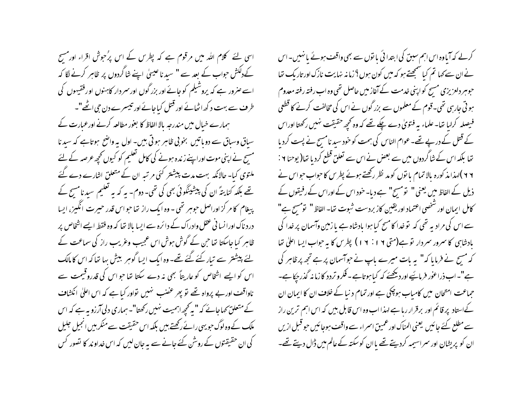اسی لئے کلام اللہ میں مرقوم ہے کہ پطرس کے اس پرُ حوش اقراء اور مسح کےدلکش حواب کے بعد سے " سید نا عیسیٰ اپنے شاگردوں پر ظاہر کرنے لگا کہ اسے صرور ہے کہ پروشیلم کوجائے اور بزر گوں اور سر دار کاہنوں اور فقیہوں کی طرف سے بہت د کھ اٹھانے اور قتل کیاجائے اور تیسرے دن جی اٹھے"۔ ہمارے خبال میں مندرجہ بالا الفاظ کا بغور مطالعہ کرنے اورعبارت کے سیاق وسباق سے دوباتیں بخوبی ظاہر ہوتی ہیں۔ اول یہ واضح ہوتاہے کہ سیدنا مسیح نے اپنی موت اوراپنے زندہ ہونے کی کامل تعلیم کو کیوں تحچہ عرصہ کے لئے ملتوی کیا۔حالانکہ بہت مدت پیشتر کئی مرتبہ ان کے متعلق اشارے دے گئے تھے بلکہ کنایتہؐ ان کی پیشینگوئی بھی کی تھی۔ دوم۔ یہ کہ یہ تعلیم سیدنامسح کے پیغام کا مر کز اوراصل حوہر تھی - وہ ایک راز تھا حواس قدر حبیرت انگیز، ایسا درد ناک اورا نسا نی عقل وادراک کے دائرہ سے ایسا بالا تھا کہ وہ فقط ایسے اشخاص پر ظاہر کیا جاسکتا تھا حن کے گوش ہوش اس عجیب وعریب راز کی سماعت کے یئے پیشتر سے تیار کئے گئے تھے۔ وہ ایک ایسا گوہر بیش بہا تعاکہ اس کا مالک اس کو ایسے اشخاص کو عاریتاً بھی نہ دے سکتا تھا حواس کی قدروقیمت سے ناواقف اور بے پرواہ تھے نو پھر عضب ہنیں نواور کیا ہے کہ اس اعلیٰ انکشاف کے متعلق کھاجائے کہ "بہ تحیھ اہمیت نہیں رکھتا"۔ ہماری دلی آرزو بہ ہے کہ اس ملک کے وہ لوگ حویہی رائے رکھتے ہیں بلکہ اس حقیقت سے منکر بیں انجیل جلیل کی ان حقیقتوں کے روشن کئے جانے سے بہ جان لیں کہ اس خداوند کا تصور کس

کرلے کہ آباوہ اس اہم سبق کی ابتدا ئی با نوں سے بھی واقف ہوئے یا نہیں۔اس نے ان سے کہا تم کیا سمجھتے ہو کہ میں کون ہوں؟ زمانہ نہایت نازک اور تاریک تھا حبوہبر دلعزیزی مسیح کواپنی خدمت کے آغاز میں حاصل تھی وہ اب رفتہ رفتہ معدوم ہو تی جارہی تھی۔قوم کے معلموں سے بزر گوں نے اس کی مخالفت کرنے کا قطعی فیصلہ کرلیا تھا۔علماء بہ فتویٰ دے چکے تھے کہ وہ کحچھ حقیقت نہیں رکھتا اوراس کے قتل کے درپے تھے۔عوام الناس کی ہمت کو خود سبد نامسح نے پست کردیا تھا بلکہ اس کے شاگردوں میں سے بعض نے اس سے تعلق قطع کردیا تھا( یوحنا ۲ : ۲ ۲ )لہذامذ کورہ بالا تمام یا توں کومد نظر رکھتے ہوئے پطرس کا حواب حبواس نے ذیل کے الفاظ میں یعنی " تومسح" ہے دیا۔ خود اس کے اوراس کے رفیقوں کے كامل ايمان اور شخصي اعتماد اور يقين كاز بردست شبوت تعا- الفاظ " تومسح ہے" سے اس کی مرادیہ تھی کہ توخدا کا مسح کیا ہوا یادشاہ ہے یا زمین وآسمان پر خدا کی بادشاہی کا سمرور سمردار توہے(متی ۱۹: ۱۹) پطرس کا یہ حواب ایسا اعلیٰ تھا کہ مسح نے فرمایا کہ" یہ بات میرے پاپ نے حواسمان پر ہے تجھ پر ظاہر کی ہے"۔اب ذراعوٰر فرماسَٰیے اور دیکھئے کہ کیا ہوتاہے۔فکرو تردد کا زمانہ گذر پچاہے۔ حماعت امتحان میں کامیاب ہوچکی ہے اور تمام د نیا کے خلاف ان کا ایمان ان کےاستاد پر قائم اور برقرار رہا ہے لہذا اب وہ اس قابل بیں کہ اس اہم ترین راز سے مطلع کئے جائیں یعنی المناک اور عمیق اسمراء سے واقف ہوجائیں حو قبل ازیں ان کو پریشان اور سراسیمہ کردیتے تھے ماان کوسکتہ کےعالم میں ڈال دیتے تھے۔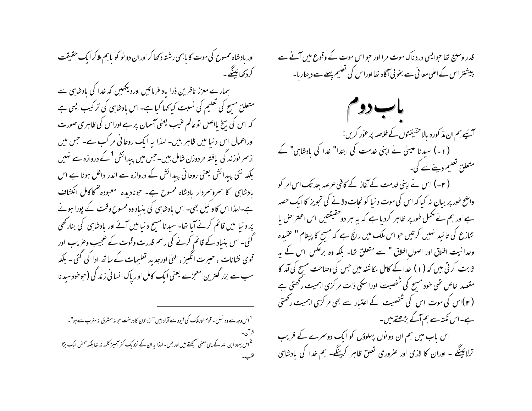اور بادشاه ممسوح کی موت کا پاہمی رشتہ دکھا کر اوران دو نو کو پاہم ملا کر ایک حقیقت كردكھائينگے۔ ہمارے معزز ناظرین ذرا باد فرمائیں اوردیکھیں کہ خدا کی بادشاہی سے متعلق مسح کی تعلیم کی نسبت کیاکھا گیا ہے۔ اس بادشاہی کی تر کیب ایسی ہے کہ اس کی بیخ یااصل تو عالم عنیب یعنی آسمان پر ہے اوراس کی ظاہری صورت اوراعمال اس د نیا میں ظاہر بیں۔ لہذا یہ ایک روحانی مر کب ہے۔ جس میں ازسمر نوز ند کی یافتہ مردوزن شامل ہیں۔جس میں پیدائش <sup>1</sup> کے دروازہ سے ہنیں بلکہ نئی پیدائش یعنی روحانی پیدائش کے دروازہ سے اندر داخل ہونا ہے اس بادشاہی کا سروسردار بادشاہ ممسوح ہے۔ حونادیدہ معبودہ <sup>2</sup>کاکامل انکشا**ف** ہے۔اہذا اس کاو کیل بھی۔ اس بادشاہی کی بنیاد وہ ممسوح وقت کے پورا ہونے پر د نیا میں قائم کرنے آیا تھا۔ سید نامسح د نیامیں آئے اور یادشاہی کی بنارتھی گئی۔ اس بنیاد کے قائم کرنے کی رسم قدرت وقوت کے عجیب وعریب اور قوی نشانات ، حیرت انگیز ، الهیٰ اورجد بد تعلیمات کے ساتھ ادا کی گئی - بلکہ سب سے بزر گنترین معجزے یعنی ایک کامل اور پاک انسانی زندگی (حوخودسید نا

<sup>1</sup> اس وجہ سے وہ نسل۔ قوم اور ملک کی قبیود سے آزاد ہیں " زیتون کا درخت حبو نہ مشرق نہ مغرب سے ہو"۔ <sup>2</sup>اہل یہود ابن اللہ کے یہی معنی سمجھتے ہیں اور بس-لہذا یہ ان کے نزد یک کفر آمیز کلمہ نہ تھا بلکہ محض ایک بڑا قدر وسبیج تھا حوایسی درد ناک موت مرا اور حو اس موت کے وقوع میں آنے سے پیشتر اس کے اعلیٰ معانی سے بخو بی آگاہ تھااوراس کی تعلیم پہلے سے دیتاریا۔

باب دو م آیَے ہم ان مذ کورہ بالاحقیقنوں کے خلاصہ پر عور کریں : (۱۔) سیدنا عیسیٰ نے اپنی خدمت کی ابتدا" خدا کی بادشاہی" کے متعلن تعلیم دینے سے کی۔ ( ۲- ) اس نے اپنی خدمت کے آغاز کے کافی عرصہ بعد تک اس امر کو واضح طور پر بیان نہ کیا کہ اس کی موت د نیا کو نجات دلانے کی تجویز کا ایک حصہ ہے اور ہم نے مکمل طور پر ظاہر کردیا ہے کہ یہ ہر دوخقیقتیں اس اعتراض یا تنازع کی تائید نہیں کرتیں حواس ملک میں رائج ہے کہ مسج کا پیغام " عقیدہ وحدانیت اخلاق اور اصول اخلاق " سے متعلق تھا- بلکہ وہ برعکس اس کے یہ ٹابت کرتی بیں کہ (۱) غدا کے کامل مکاشفہ میں جس کی وصاحت مسح کی آمد کا مقصد خاص تھی خود مسح کی شخصیت اوراسکی ذات مر کزی اہمیت رکھتی ہے ( ۲ )اس کی موت اس کی شخصیت کے اعتبار سے بھی مر کزی اہمیت رکھتی ہے۔اس نکتہ سے ہم آگے بڑھتے ہیں۔ اس ماب میں ہم ان دو نوں پہلوؤں کو ایک دوسمرے کے قریب

ترلائینگے ۔ اوران کا لازمی اور صروری تعلق ظاہر کرینگے۔ ہم خدا کی بادشاہی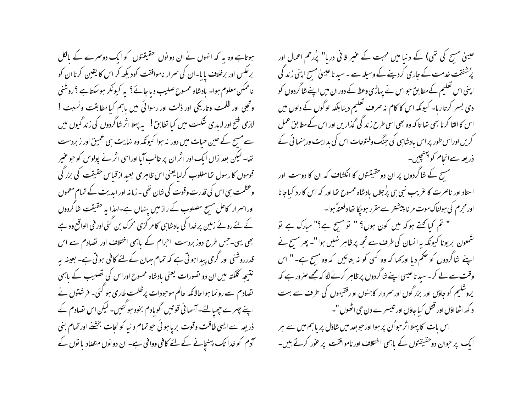ہوتاہے وہ یہ کہ انہوں نے ان دو نوں حقیقتوں کو ایک دوسمرے کے بالکل برعکس اور برخلاف پایا۔ان کی سمرار ناموافقت کودیکھ کر اس کا یقین کرناان کو ناممکن معلوم ہوا۔ مادشاہ ممسوح صلیب دیاجائے؟ پہ کیونکر ہوسکتاہے ؟ روشنی وتجلى اور ظلمت وتاريخي اور ذلت اور رسوائي ميں باہم كيا مطابقت ونسبت ! لازمی فتح اور لایدی شکست میں کیا تطابق! بہ پہلا اثر شاگردوں کی زند گیوں میں سے مسح کے حین حیات میں دور نہ ہوا کیونکہ وہ نہایت ہی عمیق اور زبردست تھا۔ لیکن بعدازاں ایک اور اثر ان پر غالب آیا اوراسی اثر نے پولوس کو حو عنیر قوموں کا رسول تھامغلوب کرایایعنی اس ظاہری بعید ازقیاس حقیقت کی بزر گی وعظمت ہی اس کی قدرت وقوت کی شان تھی۔زمانہ اور ایدیت کے تمام معمول اوراسرار کاحل مسح مصلوب کے راز میں پنہاں ہے۔لہذا یہ حقیقت شاگردوں کے لئے روئے زمین پر خدا کی بادشاہی کامر کزی محرک بن گئی اور فی الواقع وہ ہے بھی یہی۔جس طرح دوز بردست اجرام کے باہمی اختلاف اور تصادم سے اس قدرروشنی اور گرمی پیدا ہو تی ہے کہ تمام حہان کے لئے کافی ہو تی ہے۔ بعینہ بہ نتیجہ کلکتہ میں ان دو تصورات یعنی بادشاہ ممسوح اوراس کی تصلیب کے باہمی تصادم سے رونما ہوا حالانکہ عالم موحودات پرظلمت طاری ہو گئی۔ فرشتوں نے اپنے جہرے چھپانئے۔اسمانی قوتیں گوبادم بخود ہوگئیں۔لیکن اس تصادم کے ذریعہ سے ایسی طاقت وقوت بریا ہوئی حو تمام دنیا کو نجات بخشنے اور تمام بنی آدم کو خدا تک پہنچانے کے لئے کافی وواقی ہے۔ ان دو نوں متصاد با نوں کے عیسیٰ مسح کی تھی) کے دنیا میں محبت کے عنیر فانی دریا" پُررحم اعمال اور پرُشفقت خدمت کے جاری کردیئے کے وسیلہ سے ۔ سید ناعیسیٰ مسح اپنی زند گی اپنی اس تعلیم کےمطابق حبواس نے پہاڑی وعظ کے دوران میں اپنے شا گردوں کو دی بسر کرتاریا۔ کیونکہ اس کا کام نہ صرف تعلیم دینا بلکہ لوگوں کے دلوں میں اس کا القا کرنا بھی تھا تا کہ وہ بھی اسی طرح زند گی گذاریں اور اس کے مطابق عمل کریں اوراس طور پر اس مادشاہی کی جنگ وفتوحات اس کی بدایت ورہنما ئی کے ذریعہ سےانحام کو پہنچیں۔

مسح کے شاگردوں پر ان دوحقیقتوں کا انکشاف کہ ان کا دوست اور استاد اور ناصرت کا عریب نبی ہی پرُجلال بادشاہ ممسوح تھا اور کہ اس کا رد کیاجانا اورمجرم کی ہولناک موت مر نا پیشتر سے مقرر ہوجکا تھا دفعتہً ہوا۔

" تم کیا کہتے ہوکہ میں کون ہوں؟ " تو مسح ہ<sup>ے؟</sup>" مبارک ہے تو شمعون بریونا کیونکہ یہ انسان کی طرف سے تجھ پر ظاہرِ نہیں ہوا"۔ پھر مسح نے اپنے شاگردوں کو حکم دیا اور <sub>ک</sub>ہا کہ وہ <sup>ک</sup>سی کو نہ بتائیں کہ وہ مسیح ہے۔" اس وقت سے لے کر ۔سید ناعیسیٰ اپنے شاگردوں پر ظاہر کرنے لگا کہ مجھے صرور ہے کہ یروشکیم کو جاؤں اور بزرگوں اور سمر دار کاہنوں او رفقیہوں کی طرف سے بہت د کھ اٹھااؤں اور قتل کیاجاؤں اور تیسرے دن جی اٹھوں "۔

اس بات کا پہلااثر حبواُن پر ہوااور حبوبعد میں شاؤل پر باہم میں سے ہر ایک پر حبوان دو حقیقتوں کے پاہمی اختلاف اور ناموافقت پر عوْر کرتے ہیں۔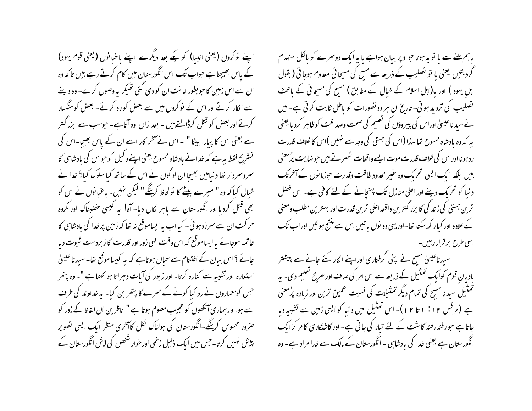اپنے نوکروں (یعنی انبیا) کو کیے بعد دیگرے اپنے باعنانوں (یعنی قوم یہود) کے پاس بھیجتا ہے حبواب تک اس انگورستان میں کام کرتے رہے بیں تاکہ وہ ان سے اس زمین کا حو بطور امانت ان کو دی گئی تھیکرا یہ وصول کرے۔ وہ دینے سے الکار کرتے اور اس کے نوکروں میں سے بعض کو رد کرتے۔ بعض کوسنگسار کرتے اور بعض کو قتل کرڈالتے ہیں - بعدازاں وہ آتاہے۔ حوسب سے بزر گنتر ہے یعنی اس کا پیارا بیٹا " ۔اس نے آخر کار اسے ان کے پاس بھیجا۔اس کی تشرّرِح فقط ہہ ہے کہ خدا نے بادشاہ ممسوح یعنی اپنےوکیل کو حواس کی بادشاہی کا سمروسمردار تھا د نیامیں بھیجا ان لوگوں نے اس کے ساتھ کیا سلوک کیا؟ خدا نے خیال کیا کہ وہ " میرے بیٹے کا تو لحاظ کرینگے " لیکن نہیں۔ باعنا نوں نے اس کو بھی قتل کردیا اور انگورستان سے باہر لکال دیا۔ آہ! یہ کیسی عضبناک اور مکروہ حرکت ان سے سمرزدہوئی۔ کیااب بہ ایساموقع نہ تھا کہ زمین پر خدا کی بادشاہی کا خاتمہ ہوجائے پاایساموقع کہ اس وقت الهیٰ زور اور قدرت کا زبردست شوت دیا جائے ؟ اس بیان کے اختتام سے عمیاں ہوتاہے کہ یہ کیسا موقع تھا۔ سید ناعیسیٰ استعارہ اور تشبیہ سے کنارہ کرتا۔ اور زبور کی آیات دہراتا ہواکھتا ہے "۔ وہ پتھر جس کومعماروں نے رد کیا کونے کے سمرے کا پتھر بن گیا- یہ خداوند کی طرف سے ہوا اور ہماری آنکھوں کو عجیب معلوم ہوتا ہے " ناظرین ان الفاظ کے زور کو حنرور محسوس کرینگے۔انگورستان کی ہولناک نقل کاآخری منظر ایک ایسی تصویر پیش نہیں کرتا۔جس میں ایک ذلیل زخمی اورخوار شخص کی لاش انگورستان کے

باہم ملنے سے یا تو یہ ہوتا حواو پر بیان ہواہے یا یہ ایک دوسرے کو بالکل منہدم گردیتیں یعنی یا تو تصلیب کے ذریعہ سے مسح کی مسیحائی معدوم ہوجاتی ( بقول اہل یہود ) اور با(اہل اسلام کے خیال کے مطابق ) مسیح کی مسیحاتی کے ماعث تصلیب کی تردید ہوتی۔ تاریخ ان ہر دو تصورات کو باطل ثابت کرتی ہے۔ میں نے سید ناعیسیٰ اوراس کی پیروؤں کی تعلیم کی صحت وصداقت کوظاہر کردیا یعنی یہ کہ وہ یادشاہ ممسوح تھالہذا (اس کی ہستی کی وجہ سے نہیں )اس کا خلاف قدرت ر دہونا اوراس کی خلاف قدرت موت ایسے واقعات ٹھہرتے ہیں حوینہایت پرُمعنی بیں بلکہ ایک ایسی تحریک وہ عنیر محدود طاقت وقدرت حوزمانوں کے آخرتک د نیا کو تحریک دینے اور اعلیٰ منازل تک پہنچانے کے لئے کافی ہے۔ اس فصل ترین ہستی کی زند گی کا بزر گسرین واقعہ اعلیٰ ترین قدرت اور بہترین مطلب ومعنی کے علاوہ اور کیار کھ سکتا تھا-اور یہی دو نوں یا تیں اس سے منتج ہو ئیں اوراب تک اسی *طرح* برقرار رہیں۔

سید ناعیسیٰ مسح نے اپنی گرفتاری اوراپنے الکار کئے جانے سے پیشتر بادیان قوم کوایک تمثیل کے ذریعہ سے اس امر کی صاف اور صریح تعلیم دی۔ پہ تمثیل سید نامسح کی تمام دیگر تمثیلات کی نسبت عمیق ترین اور زیادہ پرُمعنی ہے (مرقس ۱۲: ۱ تا ۱۲)۔اس تمثیل میں دنیا کوایسی زمین سے تشبیہ دیا جاتاہے حبورفتہ رفتہ کا شت کے لئے تیار کی جاتی ہے۔ اور کاشتکاری کا مر کزایک انگورستان ہے یعنی خدا کی بادشاہی - انگورستان کے مالک سے خدا مراد ہے- وہ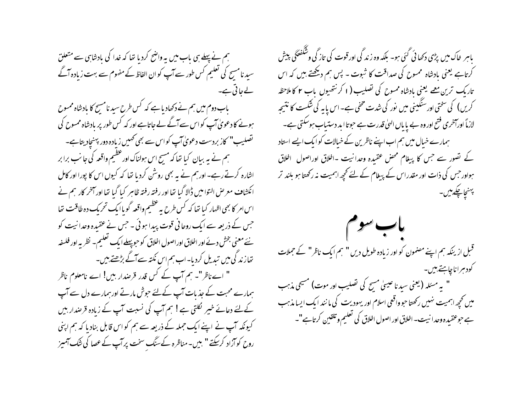ہم نے پہلے ہی باب میں یہ واضح کردیا تھا کہ خدا کی بادشاہی سے متعلق سید نامسج کی تعلیم کس طور سے آپ کو ان الفاظ کے مفهوم سے بہت زیادہ آگے لے جاتی ہے۔ باب دوم میں ہم نے دکھادیا ہے کہ کس طرح سید نامسح کا بادشاہ ممسوح ہونے کا دعویٰ آپ کواس سے آگے لے جاتاہے اور کہ کس طور پر بادشاہ ممسوح کی تصلیب" کاز بردست دعویٰ آپ کواس سے بھی کھیں زیادہ دور پہنچاد یتاہے۔ ہم نے یہ ببان کیا تھا کہ مسیح اس ہولناک اور عظیم واقعہ کی جانب برا بر اشارہ کرتے رہے۔ اور ہم نے یہ بھی روشن کردیا تھا کہ کیوں اس کا پورا اور کامل انکشاف معرض التوامیں ڈالا گیا تھا اور رفتہ رفتہ ظاہر کیا گیا تھا اور آخر کار ہم نے اس امر کا بھی اظہار کیا تھا کہ کس طرح یہ عظیم واقعہ گویاایک تحریک دہ طاقت تھا جس کے ذریعہ سے ایک روحا فی قوت پیدا ہوئی ۔ جس نے عقیدہ وحدانیت کو نئے معنی بخش دئے اور اخلاق اوراصول اخلاق کو حبو پہلے ایک تعلیم۔ نظریہ اور فلسفہ تھار ند گی میں تبدیل کردیا۔اب ہم اس نکتہ سے آگے بڑھتے ہیں۔ " اے ناظر"۔ ہم آپ کے کس قدر قرصدار بیں! اے نامعلوم ناظر ہمارے محبت کے جذبات آپ کےلئے حوش مارتے اور ہمارے دل سے آپ کےلئے دعائے خیبر لکلتی ہے! ہم آپ کی نسبت آپ کے زیادہ قرصدار بیں کیونکہ آپ نے اپنےایک جملہ کے ذریعہ سے ہم کو اس قابل بنادیا کہ ہم اپنی روح کوآزاد کرسکتے " بیں۔ مناظرہ کےسنگ سخت پر آپ کے عصا کی شک آمیز

باہر خاک میں پڑی دکھا ئی گئی ہو۔ بلکہ وہ زند گی اور قوت کی تاز گی وشکفٹکی پیش کرتاہے یعنی بادشاہ ممسوح کی صداقت کا ثبوت - پس ہم دیکھتے ہیں کہ اس تاریک ترین معمے یعنی بادشاہ ممبوح کی تصلیب (۱ کرنتھیوں باب ۲ کاملاحظہ کریں) کی سختی اورسنگینی میں نور کی شدت مخفی ہے۔اس یا یہ کی شکست کا نتیجہ لازماً اورآخری فتح اور وہ بے پایاں الهیٰ قدرت ہے حبوتا ابد دستیاب ہوسکتی ہے۔ ہمارے خیال میں ہم اب اپنے ناظرین کے خیالات کو ایک ایسے استاد کے تصور سے جس کا پیغام محص عقیدہ وحدانیت -اخلاق اوراصول اخلاق ہواور حس کی ذات اور مقدراس کے پیغام کے لئے تحچھ اہمیت نہ رکھتا ہو بلند تر پهنجاچکے پیں۔

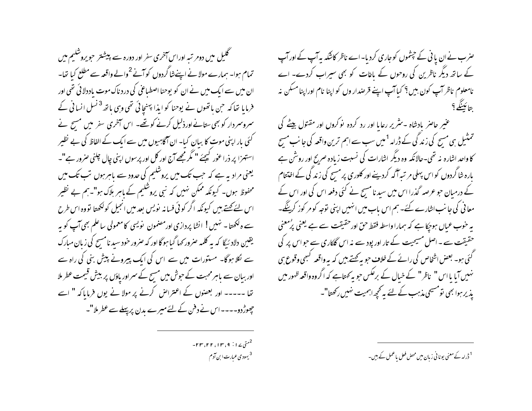گلیل میں دومر تبہ اوراس آخری سفر اور دورہ سے پیشتر حویروشلیم میں تمام ہوا۔ ہمارے مولانے اپنےنٹا گردوں کو آنے <sup>2</sup>والے واقعہ سے مطلع کیا تھا۔ ان میں سے ایک میں نے ان کو یوحنا اصطباعی کی درد ناک موت باددلائی تھی اور فرمایا تھا کہ حبن باتھوں نے یوحنا کو ایذا پہنچائی تھی وہی باتھ<sup>3</sup> نسل انسانی کے سمروسمردار کو بھی ستانےاورذلیل کرنے کو تھے۔ اس آخری سفر میں مسیح نے کئی بار اپنی موت کا سان کیا- ان آگاہیوں میں سے ایک کے الفاظ کی بے نظیر استہزا پر ذرا عوٰر کیجئے " مگر مجھے آج اور کل اور پرسوں اپنی چال چلنی صرور ہے"۔ یعنی مرادیہ ہے کہ جب تک میں پروشکیم کی حدود سے ماہر ہوں تب تک میں محفوظ ہوں۔ کیونکہ ممکن نہیں کہ نبی یروشکیم کے پاہر ہلاک ہو"۔ہم بے نظیر اس لئے کہتے ہیں کیونکہ اگر کوئی فسانہ نویس بعد میں انجیل کولکھتا تووہ اس طرح سے ہ لکھتا۔ نہیں! انشا پردازی اورمضمون نویسی کامعمولی ساعلم بھی آپ کو ہہ یقین دلاد ئیگا که به کلمه صرور <sub>ک</sub>ما گیا ہوگا اور که صرور خود سید نامسح کی زبان مبارک سے لکلا ہوگا۔ مستورات میں سے اس کی ایک پیرونے پیش بنی کی راہ سے اور بیان سے باہر محبت کے حوش میں مسیح کے سمراور یاؤں پر بیش قیمت عطر ملا تھا ۔۔۔۔۔ اور بعصوں کے اعتراض کرنے پر مولا نے یوں فرمایا کہ " اسے چھوڑ دو۔۔۔۔اس نے دفن کے لئے میرے بدن پر پہلے سے عطر ملا"۔

صرب نے ان یا ٹی کے جیشموں کو جاری کردیا۔اے ناظر کاشکہ یہ آپ کے اور آپ کے ساتھ دیگر ناظرین کی روحوں کے باغات کو بھی سیراب کردے۔ اے نامعلوم ناظر آب کون بیں؟ کیا آپ اپنے قرصدار وں کو اپنا نام اوراپنا مسکن نہ بتائينگے؟

عنیر حاصر یادشاہ -سثریر رعایا اور رد کردہ نوکروں اور مقتول بیٹے کی تمثیل ہی مسح کی زند گی کے ڈرامہ <sup>1</sup> میں سب سے اہم ترین واقعہ کی جانب مسح کا واحد اشارہ نہ تھی۔حالانکہ وہ دیگر اشارات کی نسبت زیادہ صریح اور روشن ہے بارہ شاگردوں کو اس پہلی مر تسرآگہ کردینے اور کلوری پر مسح کی زند گی کے اختتام کے درمیان جو عرصہ گذرا اس میں سید نامسح نے کئی دفعہ اس کی اور اس کے معا فی کی جانب اشارے کئے۔ ہم اس باب میں انہیں اپنی توجہ کو مر کوز کرینگے۔ بہ حنوب عمال ہوجکا ہے کہ ہمارا واسطہ فقط حق اور حقیقت سے ہے یعنی پرُمعنی حقیقت سے ۔ اصل مسیحیت کے تار اور پود سے نہ اس گلکاری سے حواس پر کی گئی ہو۔ بعض اشخاص کی رائے کے خلاف حبو بہ کہتے ہیں کہ یہ واقعہ کبھی وقوع ہی نہیں آیا یا اس " ناظر" کے خیال کے برعکس جو یہ <sub>ک</sub>متاہے کہ اگروہ واقعہ ظہور میں یذیر ہوا بھی تومسیحی مذہب کے لئے بہ تحچھ اہمیت نہیں رکھتا"۔

-۲۳، ۲۲، ۱۳، ۲۴، ۲۳ <sup>3</sup> بهودی عبارت ابن آدم

<sup>1</sup> ڈرامہ کے معنی یونا فی زبان میں محض فعل یاعمل کے ہیں۔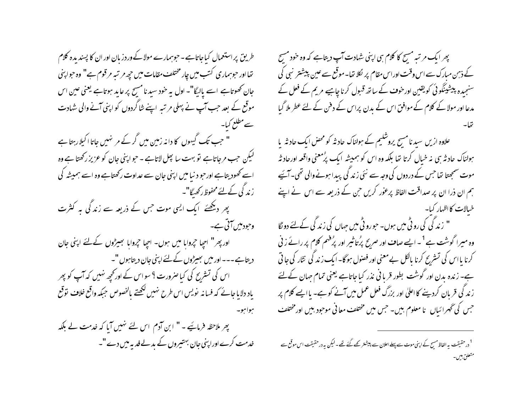طریق پراستعمال کباجاتاہے۔حوہمارے مولاکےوردزبان اور ان کا پسندیدہ کلام تھااور حوہماری کتب میں چار مختلف مقامات میں حچہ مرتبہ مرقوم ہے" وہ حواپنی جان تھوتاہے اسے پالیگا"۔ اول یہ خود سید نامسیح پر عاید ہوتاہے یعنی عین اس موقع کے بعد حب آپ نے پہلی مر تبہ اپنے شاگردوں کو اپنی آنے والی شہادت سےمطلع کیا۔ " حب تک گیہوں کا دانہ زمین میں گر کے مر نہیں جاتا اکیلار ہتا ہے لیکن حب مرجاتاہے تو بہت سا پھل لاتاہے - حوابپنی جان کو عزیز رکھتا ہے وہ اسے کھود بتاہے اورحو د نیامیں اپنی جان سے عداوت رکھتاہے وہ اسے ہمیشہ کی ز ند گی کے لئے محفوظ رکھیے گا"۔ پھر دیکھئے ایک ایسی موت جس کے ذریعہ سے زند کی ہہ کنٹرت وحود میں آتی ہے۔ اور پھر" اچیا جروابا میں ہوں۔ اجیا جروابا تجسیڑوں کے لئے اپنی جان دیتاہے۔۔۔اور میں بھیڑوں کے لئے اپنی جان دیتاہوں "۔ اس کی تسٹرنح کی کیا صرورت ؟ سواس کے اور محچھ نہیں کہ آپ کو پھر یاد دلایا جائے کہ فسانہ نویس اس طرح نہیں لکھتے بالخصوص جبکہ واقع خلاف توقع موامو-

پھر ملاحظہ فرمائیے۔" ابن آدم اس لئے تہیں آیا کہ خدمت لے بلکہ خدمت کرے اوراپنی جان بہتیروں کے بدلے فدیہ میں دے "۔

پھر ایک مرتبہ مسح کا کلام ہی اپنی شہادت آپ دیتاہے کہ وہ خود مسح کے ذہن مبارک سے اس وقت اوراس مقام پر لکلا تھا۔ موقع سے عین پیشنتر نبی کی سنجیدہ پیشینگوئی کویقین اور خوف کے ساتھ قسول کرنا چاہیے مریم کے فعل کے مدعا اور مولا کے کلام کے موافق اس کے بدن پراس کے دفن کے لئے عطر ملا گیا

علاوہ ازیں سید نامسح پروشلیم کے ہولناک حاد ثہ کو محض ایک حاد ثہ یا ہولناک حاد ثہ ہی نہ خیال کرتا تھا بلکہ وہ اس کو ہمیشہ ایک پڑمعنی واقعہ اورحاد ثہ موت سمجھتا تھا جس کے دردوں کی وجہ سے نئی زند گی پیدا ہونے والی تھی۔آئیے ہم ان ذرا ان پر صداقت الفاظ پرعوٰر کریں حن کے ذریعہ سے اس نے اپنے خیالات کا اظہار کیا۔

" زندگی کی رو ٹی میں ہوں۔ حبورو ٹی میں حہاں کی زند کی کےلئے دو نگا وہ میرا گوشت ہے<sup>1</sup>۔ ایسے صا**ح** اور صریح پرُتا <sub>تیمر</sub> اور پرُفہم کلام پر رائے رُنی کرنا بااس کی تسٹریح کرنا بالکل بے معنی اور فصول ہو گا-ایک زند کی نثار کی جا تی ہے۔ زندہ بدن اور گوشت بطور قربانی نذر کیا جاتاہے یعنی تمام جہان کے لئے ز ند گی قربان کردینے کا اعلیٰ اور بزرگ فعل عمل میں آنے کو ہے۔ یاایے کلام پر جس کی گھرائباں نا معلوم بیں۔ جس میں مختلف معانی موجود بیں اور مختلف

<sup>1</sup> درحقیقت یہ الفاظ مسح کے اپنی موت سے پہلے اعلان سے پیشتر کیے گئے تھے۔ کیکن یہ درحقیقت اس موقع سے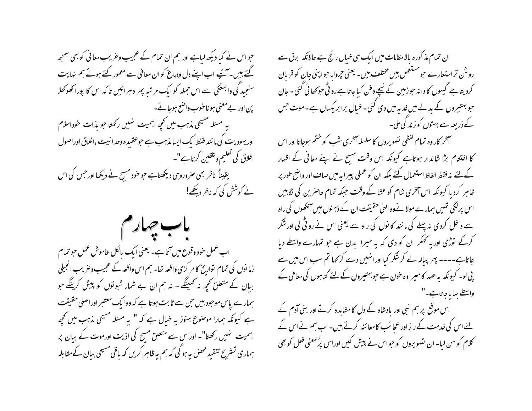حبواس نے کیا دیکھ لیاہے اور ہم ان تمام کے عجیب وغریب معانی کو بھی سمجھ گئے ہیں۔آئیے اب اپنے دل ودماغ کو ان معافی سے معمور کئے ہوئے ہم نہایت سنجید گی وابستگی سے اس حملہ کو ایک مرتبہ پھر دہرائیں تاکہ اس کا پوراٹھوکھلا پن اور بےمعنی ہو ناخوب واضح ہوجائے۔ بہ مسئلہ مسیحی مذہب میں تحجیہ اہمیت ہنیس رکھتا حبو بذات خوداسلام اور یہودیت کی ما نند فقط ایک ایسا مذہب ہے حبوعقیدہ وحدا نیت ،اخلاق اوراصول اخلاق کی تعلیم و تلقین کرتا ہے"۔ یقیناً ناظر بھی صروروہی دیکھتاہے حوحود مسیح نے دیکھا اور حس کی اس نے کوشش کی کہ ناظر دیکھے!



اب عمل خود وقوع میں آتا ہے۔ یعنی ایک بالکل خاموش عمل حو تمام زما نوں کی تمام تواریخ کا مر کزی واقعہ تھا۔ ہم اس واقعہ کے عجیب وعریب انجیلی ببان کے متعلق تحچھ نہ کھینگے - نہ ہم ان بے شمار شوتوں کو پیش کرینگے حو ہمارے پاس موحبود ہیں حن سے ثابت ہوتا ہے کہ وہ ایک معتبر اوراصلی حقیقت ہے کیونکہ ہمارا موصنوع ہنوز یہ خیال ہے کہ " یہ مسئلہ مسیحی مذہب میں تحچھ اہمیت ہنیں رکھتا"۔ اوراس سے متعلق مسبح کی اذیت اورموت کے بیان پر ہماری تسٹر بح تنقید محض یہ ہو گی کہ ہم یہ ظاہر کریں کہ یاقی مسیحی بیان کےمقابلہ

ان تمام مذکورہ بالامقامات میں ایک ہی خبال رائج ہے حالانکہ برق سے روشن تراستعارے حبومستعمل بیں مختلف بیں۔ یعنی حیروایاحبوا پنی جان کو قریان کردیتاہے گیہوں کا دانہ حوزمین کے نیچے دفن کیاجاتاہے رو ٹی حوکھا ئی گئی ۔ جان حو بہتیروں کے بدلےمیں فدیہ میں دی گئی۔خیال برابر یکساں ہے۔موت حس کے ذریعہ سے بہتوں کوزند گی ملی۔

سمخر کار وہ تمام گفظی تصویروں کا سلسلہ آخری شب کو ختم ہوجاتا اور اس کا اختتام بڑا شاندار ہوتاہے کیونکہ اس وقت مسح نے اپنے معانی کے اظہار کےلئے نہ فقط الفاظ استعمال کئے بلکہ ان کو عملی پیرا یہ میں صاف اور واضح طور پر ظاہر کردیا کیونکہ اس آخری شام کو عشا کے وقت جبکہ تمام حاصرین کی لگاہیں اس پرلگی تھیں ہمارے مولا نےوہ الہیٰ حقیقت ان کے ذہنوں میں آنکھوں کی راہ سے داخل کردی نہ پہلے گی ما نند کا نوں کی راہ سے یعنی اس نے رو ٹی لی اورشکر کرکے نوڑی اور یہ ٹھکر ان کو دی کہ یہ میرا بدن ہے جو تہارے واسطے دیا جاتاہے۔۔۔۔ پھر پیالہ لے کر شکر کیا اورانہیں دے کر <sub>ک</sub>ہا تم سب اس میں سے پی لو۔ کیونکہ یہ عہد کامیراوہ خون ہے حوبہتیروں کے لئے گناہوں کی معافی کے واسطے بہایاجاتاہے۔"

اس موقع پر ہم نبی اور یادشاہ کے دل کامشاہدہ کرتے اور بنی آدم کے یئے اس کی خدمت کے راز اور عجائب کامعائنہ کرتے ہیں۔ اب ہم نے اس کے کلام کوسن لیا۔ ان تصویروں کو حبواس نے پیش کیں اوراس پرُ معنی فعل کو بھی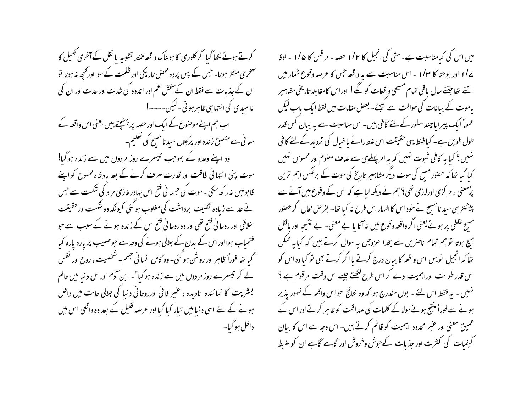کرتے ہوئے لکھا گیاا گر کلوری کا ہولناک واقعہ فقط تشبہہ یا نقل کے آخری تھیل کا آخری منظر ہوتا۔ حس کے پس پردہ محض تاریکی اور ظلمت کے سوا اور تحجیہ نہ ہوتا تو ان کے جذبات سے فقط ان کے آتش عم اور اندوہ کی شدت اور حدت اور ان کی ناامىدى كى انتها بى ظاہر ہوتى۔ليكن۔۔۔۔! اب ہم اپنے موصنوع کے ایک اورحصہ پر پہنچتے بیں یعنی اس واقعہ کے معا فی سے متعلق زندہ اور پرُجلال سید نامسِح کی تعلیم۔ وہ اپنے وعدہ کے بموجب تیسرے روز مردوں میں سے زندہ ہوگیا! موت اپنی انتہائی طاقت اور قدرت صرف کرنے کے بعد یادشاہ ممسوح کواپنے قا بومیں نہ رکھ سکی۔موت کی حسمانی فتح اس سادر عازی مر د کی شکست سے حس نے حد سے زیادہ ٹکلیف برداشت کی مغلوب ہوگئی کیونکہ وہ شکست درحقیقت اخلاقی اور روحا فی فتح تھی اور وہ روحا فی فتح اس کے زندہ ہونے کے سبب سے حبو فتحیاب ہوااوراس کے بدن کے جلالی ہونے کی وجہ سے حبوصلیب پر بارہ بارہ کیا گیا تھا فوراً ظاہر اور روشن ہو گئی۔ وہ کامل انسا فی جسم۔ شخصیت ، روح اور نفس لے کر تیسرے روز مر دوں میں سے زندہ ہو گیا"۔ ابن آدم اوراس د نیا میں عالم بستریت کا نمائندہ نادیدہ ، عنیر فانی اورروحانی د نبا کی جلالی حالت میں داخل ہونے کے لئے اسی د نیا میں تیار کیا گیا اور عرصہ قلیل کے بعد وہ واقعی اس میں داخل ہو گیا۔

میں اس کی کیامناسبت ہے۔ متی کی انجیل کا ۱/۲ حصہ - مرقس کا ۱/۵ - لوقا ے/ا اور یوحنا کا ۱/۳ - اس مناسبت سے بہ واقعہ جس کا عرصہ وقوع شمار میں اتنے تھا جتنے سال یاقی تمام مسیحی واقعات کو لگے! اوراس کامقابلہ تاریخی مشاہیر یاموت کے بیانات کی طوالت سے کیجئے۔ بعض مقامات میں فقط ایک باب لیکن عموماً ایک پیرا ما چند سطور کے لئے کافی بین- اس مناسبت سے یہ بیان کس قدر طول طویل ہے۔ کیا فقط یہی حقیقت اس علط رائے یاخیال کی تردید کے لئے کافی نہیں؟ کیا یہ کافی شوت نہیں کہ یہ امر پہلےہی سے صاف معلوم اور محسوس نہیں کیا گیا تنا کہ حصنور مسح کی موت دیگر مشاہیپر تاریخ کی موت کے برعکس اہم ترین پرُمعنی ، مر کزی اورلازمی تھی؟ ہم نے دیکھ لیا ہے کہ اس کے وقوع میں آنے سے پیشتر ہی سید نامسح نے خود اس کا اظہار اس طرح نہ کیا تھا۔ بفر ص محال اگر حصنور مسح علطی پر ہوتے یعنی اگر واقعہ وقوع میں نہ آتا یا بے معنی۔ بے نتیجہ اور بالکل ہیچ ہوتا تو ہم تمام ناصرین سے بخدا عزوجل ہہ سوال کرتے ہیں کہ کیا ہہ ممکن تعاکہ انجیل نویس اس واقعہ کا بیان درج کرتے یا اگر کرتے بھی تو کیاوہ اس کو اس قدر طوالت اوراہمیت دے کر اس طرح لکھتے جیسے اس وقت مرقوم ہے ؟ نہیں - یہ فقط اس لئے - یوں مندرج ہوا کہ وہ نتائج حواس واقعہ کے ظہور پذیر ہونے سے فوراً منتج ہوئےمولاکے کلمات کی صداقت کو ظاہر کرتے اور اس کے عمیق معنی اور عبیر محدود اہمیت کو قائم کرتے ہیں۔ اس وجہ سے اس کا بیان کیفیات کی کثرت اور جذبات کےحوش وخروش اور گاہے گاہے ان کو ضبط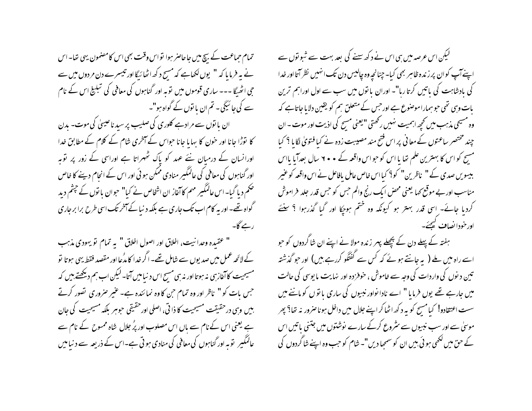تمام حماعت کے بیچ میں جاحاصر ہوا تواس وقت بھی اس کامضمون یہی تھا۔ اس نے ہہ فرمایا کہ " یوں لکھاہے کہ مسح د کھ اٹھائیگا اور تیبسرے دن مر دوں میں سے جی اٹھیگا --- ساری قوموں میں توبہ اور گناہوں کی معافی کی تبلیخ اس کے نام سے کی جائیگی۔ تم ان یا توں کے گواہ ہو"۔ ان یا نوں سے مرادہے کلوری کی صلیب پر سید ناعیسیٰ کی موت۔ بدن

کا نوڑا جانا اور حون کا بہایا جانا حبواس کے آخری شام کے کلام کے مطابق خدا اورانسان کے درمیان نئے عہد کو پاک ٹھہراتا ہے اوراسی کے زور پر توبہ اور گناہوں کی معافی کی عالمگیر منادی ممکن ہوئی اور اس کے انجام دینے کا خاص حکم دیا گیا۔اس عالمگیر مہم کاآغاز ان اشخاص نے کیا" حبوان یا توں کے حبتم دید گواہ تھے۔ اور یہ کام اب تک جاری ہے بلکہ د نیا کے آخر تک اسی طرح برا بر جاری رہے گا۔

" عقيده وحدانيت، اخلاق اور اصول اخلاق " به تمام تو يهودي مذہب کے لائحہ عمل میں صدیوں سے شامل تھے۔ اگر خدا کا مدُعا اور مقصد فقط یہی ہوتا تو مسیحیت کا آغاز ہی نہ ہوتا اور نہ ہی مسح اس د نیامیں آتا۔ لیکن اب ہم دیکھتے، بیں کہ جس بات کو " ناظر اور وہ تمام حن کا وہ نمائندہ ہے۔ عنیر صروری تصور کرتے بیں وسی درحقیقت مسیحیت کا ذاتی، اصلی اور حقیقی حوہر بلکہ مسیحیت کی حان ہے یعنی اس کے نام سے باں اس مصلوب اور پرُ جلال شاہ ممسوح کے نام سے عالمگیر ِ لوّیہ اور گناہوں کی معافی کی منادی ہوتی ہے۔اس کے ذریعہ سے د نیا میں

لیکن اس عرصہ میں ہی اس نے د کھ سے کی بعد بہت سے شبولوں سے اپنے آپ کوان پر زندہ ظاہر بھی کیا۔ چنانچہ وہ چالیس دن تک انہیں نظر آتا اور خدا کی بادشاہت کی باتیں کرتا رہا"۔ اوران یا نوں میں سب سے اول اوراہم ترین بات وہی تھی حبو ہمارا موصنوع ہے اور حس کے متعلق ہم کو یقین دلایا جاتاہے کہ وہ مسیحی مذہب میں تحیھ اہمیت نہیں رکھتی "یعنی مسح کی اذیت اور موت ۔ ان چند مختصر ساعتوں کے معانی پر اس فتح مند مصیبت زدہ نے کیا فتویٰ لگایا ؟ کیا مسیح کو اس کا بہترین علم تھا یا اس کو حواس واقعہ کے • • ۲ سال بعدآیا بااس ببیسویں صدی کے " ناظرین" کو؟ کیا اس خاص عامل بافاعل نے اس واقعہ کو عنیر مناسب اور بے موقع کھا یعنی محض ایک رنج والم حس کو حس قدر جلد فراموش کردیا جائے- اسی قدر بہتر ہو کیونکہ وہ ختم ہوچکا اور گیا گذرہوا ؟ سنئے اورخودا نصاف کیچئے۔

ہفتہ کے پہلے دن کے پچھلے پہر زندہ مولا نے اپنے ان شاگردوں کو حبو اسے راہ میں ملے ( یہ جانتے ہوئے کہ کس سے گفتگو کررہے بیں) اور حو گذشتہ تین دیوں کی واردات کی وجہ سے خاموش ، خوفز دہ اور نہایت ما یوسی کی حالت میں جارہے تھے یوں فرمایا " اے نادا نواور نبیوں کی ساری یا نوں کو ماننے میں سست اعتقادو! کیا مسح کو یہ د کھ اٹھا کر اپنے جلال میں داخل ہونا صرور نہ تھا؟ پھر موسیٰ سے اور سب نبیوں سے مثروع کرکے سارے نوشتوں میں جتنی پاتیں اس کے حق میں لکھی ہو ئی بیں ان کو سمجھا دیں"۔ شام کو حب وہ اپنے شاگردوں کی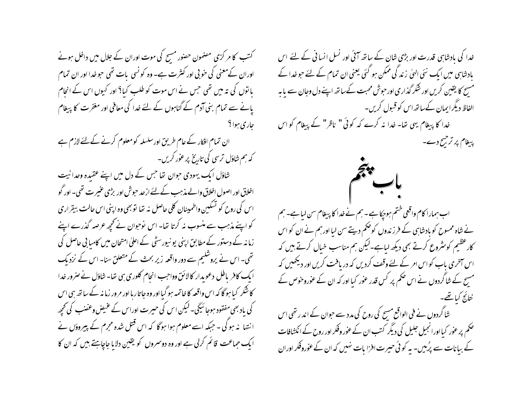کتب کا مر کزی مصنمون حصور مسیح کی موت اوران کے جلال میں داخل ہونے اوران کےمعنی کی خوبی اور کنثرت ہے۔ وہ کو نسی بات تھی حو خدا اور ان تمام بانوں کی تہ میں تھی جس نے اس موت کو طلب کیا؟ اور کیوں اس کے انحام یانے سے تمام بنی آدم کے گناہوں کے لئے خدا کی معافی اور مغفرت کا پیغام جاري ہوا ؟ ان تمام افکار کے عام طریق اورسلسلہ کومعلوم کرنے کے لئے لازم ہے کہ ہم شاؤل ترسی کی تاریخ پر عور کریں۔ شاؤل ایک یہودی حوان تھا جس کے دل میں اپنے عقیدہ وحدانیت اخلاق اور اصول اخلاق والے مذہب کے لئے ازحد حبوش اور بڑی عنیرت تھی۔ اور گو اس کی روح کو تسکین واطمینان کلی حاصل نه تھا توبھی وہ اپنی اس حالت بیقراری کو اپنے مذہب سے منسوب نہ کرتا تھا۔ اس نوحوان نے تحچھ عرصہ گذرے اپنے زمانہ کے دستور کے مطابق اپنی یو نیورسٹی کے اعلیٰ امتحان میں کامیا بی حاصل کی تھی۔ اس نے پروشلیم سے دور واقعہ زیر بحث کے متعلق سنا۔ اس کے نزدیک ایک کافر باطل دعویدار کالائق وواجب انجام کلوری ہی تھا۔ شاؤل نے صرور خدا کا شکر کیا ہوگا کہ اس واقعہ کا خاتمہ ہو گیا اور وہ جاتاربا اور مرور زمانہ کے ساتھ ہی اس کی باد بھی مفقود ہوجا سُیگی۔ لیکن اس کی حسیرت اوراس کے عنیض وعضب کی تحچھ انتہا نہ ہو گی ۔ جبکہ اسے معلوم ہوا ہو گا کہ اس قتل شدہ مجرم کے پیروؤں نے ایک حماعت قائم کرلی ہے اور وہ دوسمروں کو یقین دلایا جاچاہتے ہیں کہ ان کا

خدا کی بادشاہی قدرت اور بڑی شان کے ساتھ آئی اور نسل انسانی کے لئے اس بادشاہی میں ایک نئی الٹیٰ زند گی ممکن ہو گئی یعنی ان تمام کے لئے حوضدا کے مسیح کا یقین کریں اور شکر گذاری اور حبوش محبت کےساتھ اپنے دل وجان سے ما مہ الفاظ دیگرایمان کےساتھ اس کو قبول کریں۔ خدا کا پیغام یہی تھا۔ خدا نہ کرے کہ کوئی " ناظر" کے پیغام کو اس پیغام پر ترجیح دے۔

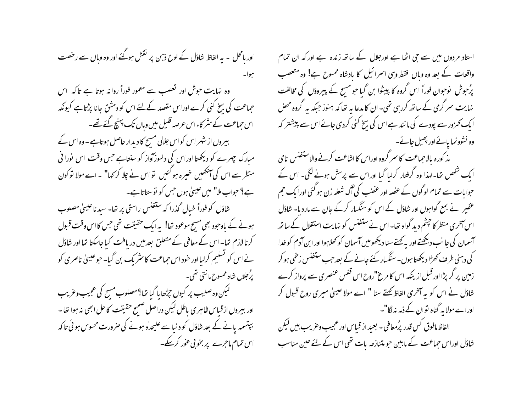اور پامحل ۔ یہ الفاظ شاؤل کے لوح ذہن پر نقش ہوگئے اور وہ وہاں سے رخصت يبوا-

وہ نہایت حوش اور تعصب سے معمور فوراً روانہ ہوتا ہے تاکہ اس حماعت کی بیخ کنی کرے اوراس مقصد کےلئے اس کو دمشق جانا پڑتاہے کیونکہ اس حماعت کے سٹر کاءاس عرصہ قلیل میں وہاں تک پہنچ گئے تھے۔ بیروں از شہر اس کو اس جلالی مسیح کا دیدار حاصل ہوتاہے ۔ وہ اس کے مبارک چہرے کو دیکھتا اوراس کی دلسوزآواز کو سنتاہے جس وقت اس نورا فی منظر سے اس کی آنکھیں خیبرہ ہو گئیں تو اس نے چلا کر <sub>ک</sub>ہا" ۔ اے مولا تو کون ہے؟ حواب ملا" میں عیسیٰ ہوں جس کو نوستا تاہے۔

شاؤل کو فوراً خیال گذرا که ستفنس راستی پر تھا۔ سید ناعیسیٰ مصلوب ہونے کے باوجود بھی مسح موعود تھا! یہ ایک حقیقت تھی جس کااس وقت قبول کرنا لازم تھا۔ اس کے معافی کے متعلق بعد میں دریافت کیا جاسکتا تھا اور شاؤل نے اس کو نسلیم کرلیا اور خود اس حماعت کا سثر یک بن گیا۔ حبوعیسیٰ ناصری کو پُرمجلال شاہ ممسوح ما نتی تھی۔

لیکن وہ صلیب پر کیوں حِرْطا یا گیا تھا؟مصلوب مسح کی عجیب وغریب اور ببیروں ازقیاس ظاہری باطل لیکن دراصل صحیح حقیقت کا حل ابھی نہ ہوا تھا ۔ بپتسمہ پانے کے بعد شاؤل کو د نباسے علیحدہٰ ہونے کی صرورت محسوس ہو ئی تاکہ اس تمام ماحرے پر بخو بی عور کرکے۔ استاد مردوں میں سے جی اٹھا ہے اورجلال کے ساتھ زندہ ہے اور کہ ان تمام واقعات کے بعد وہ وہاں فقط وہی اسرائیل کا بادشاہ ممسوح ہے! وہ متعصب پرُحبوش نوحوان فوراً اس گروہ کا پیشوا بن گیا حبو مسح کے پیروؤں کی مخالفت نہایت سر گرمی کے ساتھ کررہی تھی۔ ان کامدعا یہ نخا کہ ہنوز جبکہ یہ گروہ محض ا یک کم زور سے پودے کی ما نند ہے اس کی بسخ کنی کردی جائے اس سے پیشنتر کہ وہ نشوونما بائے اور پھیل جائے۔

مذ کورہ بالاحباعت کا سر گروہ اوراس کا اشاعت کرنے والاستفنس نامی ایک شخص تھا۔لہذا وہ گرفتار کرلیا گیا اوراس سے پرسش ہونے لگی۔ اس کے حبوا بات سے تمام لوگوں کے عصٰہ اور عضنب کی آگ شعلہ زن ہو گئی اورا یک حجم عفیبر نے بمع گواہوں اور شاؤل کے اس کو سنگسار کرکے جان سے ماردیا۔ شاؤل اس آخری منظر کا چشم دید گواہ تھا۔اس نے ستفنس کو نہایت استقلال کے ساتھ آسمان کی جا نب دیکھتے اور بہ کھتے سنا دیکھومیں آسمان کو کھلاہوا اورا بن آدم کو غدا کی دہنی طرف کھڑا دیکھتا ہوں۔سنگسار کئے جانے کے بعد حب ستفنس زخمی ہو کر زمین پر گریڑا اور قبل از ینکہ اس کا مرغ"روح اس قفس عنصری سے پرواز کرے شاؤل نے اس کو یہ آخری الفاظ کھتے سنا " اے مولا عیسیٰ میری روح قبول کر اوراےمولا یہ گناہ توان کے ذمہ نہ لگا"۔

الفاظ مافوق کس قدر پرُمعافی - بعبد از قباس اور عجیب وعریب بین لیکن شاؤل اوراس حماعت کے مابین حبو متنازعہ بات تھی اس کے لئے عین مناسب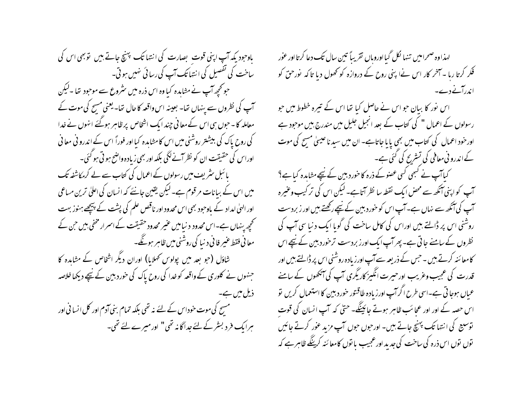یاوحود یکہ آپ اپنی قوت بصارت کی انتہا تک پہنچ جاتے ہیں تو بھی اس کی ساخت کی تفصیل کی انتہا تک آپ کی رسائی نہیں ہو تی۔ حو کچھ آپ نے مشاہدہ کیا وہ اس ذرہ میں سٹروع سے موحود تھا ۔لیکن آپ کی نظروں سے پنہاں تھا۔ بعینہ اس واقعہ کا حال تھا۔ یعنی مسح کی موت کے معاملہ کا۔حوں ہی اس کے معا فی چند ایک اشخاص پر ظاہر ہوگئے انہوں نے خدا کی روح پاک کی ببیشتر روشنی میں اس کا مشاہدہ کیا اور فوراً اس کے اندرو فی معانی اوراس کی حقیقت ان کو نظر آنے لگی بلکہ اور بھی زیادہ واضح ہو ٹی ہو گئی۔ یا ئبل سٹریف میں رسولوں کے اعمال کی کتاب سے لے کرمکاشفہ تک میں اس کے بیانات مرقوم ہے۔لیکن یقین جانئے کہ انسان کی اعلیٰ ترین مساعی اور الہیٰ امداد کے باوجود بھی اس محدود اور ناقص علم کی پشت کے پیچھے ہنوز بہت کھچھ پنہاں ہے۔اس محدود د نیامیں عنیر محدود حقیقت کے اسمرار مخفی بیں حن کے معا في فقط عنير فا في د نبا كي روشني ميں ظاہر ہوگئے۔ شاؤل (جو بعد میں پولوس ٹھلایا) اوران دیگر اشخاص کے مشاہدہ کا جنہوں نے کلوری کے واقعہ کو خدا کی روح پاک کی خوردبین کے نیچے دیکھا خلاصہ ذیل میں ہے۔ مسیح کی موت حوداس کے لئے نہ تھی بلکہ تمام بنی آدم اور کل انسانی اور ہرایک فرد بسٹر کے لئے جداگانہ تھی" اور میرے لئے تھی۔

لهذاوه صحراميں تنها لُكل گيااوروباں تقريباً تين سال تك دعا كرتااور عور فکر کرتا رہا ۔ آخر کار اس نےا پنی روح کے دروازہ کو تھول دیا تاکہ نورحن کو اندرآنے دے۔

اس نور کا بیان حبو اس نے حاصل کیا تھا اس کے تیرہ خطوط میں حبو رسولوں کے اعمال " کی کتاب کے بعد انجیل جلیل میں مندرج بیں موجود ہے اور خود اعمال کی کتاب میں بھی پایا جاتاہے۔ ان میں سبد ناعیسیٰ مسح کی موت کے اندرو نی معافی کی تستریح کی گئی ہے۔

کیاآپ نے کسمی کسی عصوبے ذرہ کا حورد بین کے نیچے مشاہدہ کیا ہے؟ آپ کواپنی آنکھ سے محض ایک نقطہ سا نظر آتاہے۔ لیکن اس کی تر کیب وعنیرہ آپ کی آنکھ سے نہاں ہے۔ آپ اس کو خور دبین کے نیچے رکھتے بیں اور زبردست روشنی اس پر ڈالتے ہیں اوراس کی کامل ساخت کی گویا ایک دنیا سی آپ کی نظروں کے سامنے جاتی ہے۔ پھر آپ ایک اورز بردست ترخور دبین کے نیچے اس کامعا ئنہ کرتے ہیں ۔ حس کے ذریعہ سے آپ اور زیادہ روشنی اس پر ڈالتے ہیں اور قدرت کی عجیب وعریب اورحیرت انگیز کاریگری آپ کی آنکھوں کے سامنے عباں ہوجا تی ہے۔اسی طرح اگر آپ اور زیادہ طاقنور خور دبیین کا استعمال کریں تو اس حصہ کے اور اور عجائب ظاہر ہوتے جائینگے۔ حتی کہ آپ انسان کی قوت توسیع کی انتہا تک پہنچ جاتے ہیں۔ اورحوں حوں آپ مزید عور کرتے جائیں توں نوں اس ذرہ کی ساخت کی جدید اور عجیب یا نوں کامعا ئنہ کرینگے ظاہر ہے کہ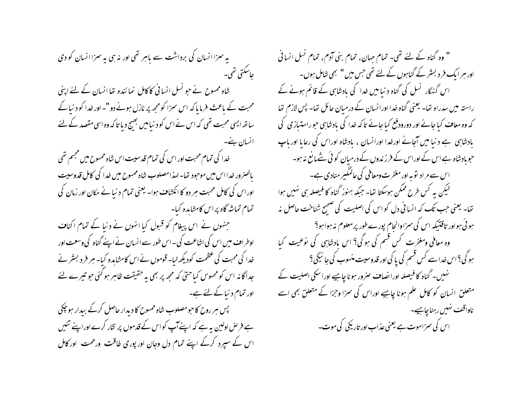بہ سزا انسان کی برداشت سے باہر تھی اور نہ ہی پہ سزا انسان کو دی حاسكتي تھي۔ شاہ ممسوح نے جو نسل انسانی کاکامل نمائندہ تھا انسان کے لئے اپنی محبت کے ماعث فرمایا کہ اس سمزا کو مجھ پر نازل ہونے دو "۔اور خدا کو د نیا کے سائھ ایسی محبت تھی کہ اس نے اس کو د نیامیں بھیج دیا تاکہ وہ اسی مقصد کے لئے انسان بنے۔ خدا کی تمام محبت اور اس کی تمام قدسیت اس شاہ ممسوح میں مجسم تھی بالصرور خدااس میں موجود تھا۔اہذامصلوب شاہ ممسوح میں خدا کی کامل قدوسیت اوراس کی کامل محبت ہر دو کا انکشاف ہوا۔ یعنی تمام د نیا نے مکان اور زمان کی تمام تماشه گاه پراس کامشاہدہ کیا۔ جنہوں نے اس پیغام کو قبول کیا انہوں نے دنیا کے تمام اکناف اوطراف میں اس کی اشاعت کی ۔اس طور سے انسان نے اپنے گناہ کی وسعت اور خدا کی محبت کی عظمت کودیکھ لبا۔ قوموں نے اس کامشاہدہ کیا۔ ہر فر د بسٹر نے جداگانہ اس کومحسوس کیاحتیٰ کہ مجھ پر بھی بہ حقیقت ظاہر ہو گئی جو تیرے لئے اور تمام د نیا کے لئے ہے۔ پس ہر روح کا حومصلوب شاہ ممسوح کا دیدار حاصل کرکے بیدار ہو چکی ہے فرص اولین یہ ہے کہ اپنےآپ کواس کے قدموں پر نثار کرے اوراپنے تئیں اس کے سپرد کرکے اپنے تمام دل وجان اور پوری طاقت ورحمت اور کامل

" وہ گناہ کے لئے تھی۔ تمام جہان، تمام بنی آدم، تمام نسل انسانی اور ہر ایک فر د بسٹر کے گناہوں کے لئے تھی جس میں " بھی شامل ہوں۔ اس گنہگار <sup>نس</sup>ل کی گناہ دنیا میں خدا کی بادشاہی کے قائم ہونے کے راستہ میں سدراہ تھا۔ یعنی گناہ خدا اورانسان کے درمیان حائل تھا۔ پس لازم تھا کہ وہ معاف کیا جائے اور دورودفع کیا جائے تاکہ خدا کی یادشاہی حبوراستیازی کی بادشاہی ہے دنیا میں آجائے اورخدا اورانسان ، مادشاہ اوراس کی رعایا اوریاب حوبادشاہ ہے اس کے اوراس کے فرزندوں کے درمیان کوئی نتے مانع نہ ہو۔ اس سے مراد توبہ اور مغفرت ومعافی کی عالمگیر منادی ہے۔ گیکن یہ کس طرح ممکن ہوسکتا تھا۔ جبکہ ہنوز گناہ کا فیصلہ ہی نہیں ہوا تعا۔ یعنی حب تک کہ انسانی دل کو اس کی اصلیت کی صحیح شناخت حاصل نہ ہو ئی ہواور تاقتیکہ اس کی سمزاوانحام پورےطور پرمعلوم نہ ہواہو؟ وہ معافی ومغفرت کس قسم کی ہوگی؟ اس بادشاہی کی نوعیت کیا ہو گی؟اس خداسے کس قسم کی یا کی اور قدوسیت منسوب کی جائیگی؟ نہیں۔ گناہ کا فیصلہ اورا نصاف صرور ہونا چاہیے اورا سکی اصلیت کے متعلق انسان کو کامل علم ہونا چاہیے اوراس کی سمزا وحزا کے متعلق بھی اسے ناواقف نهبس رہناچاہیے۔ اس کی سمزاموت ہے یعنی عذاب اور تاریکی کی موت۔